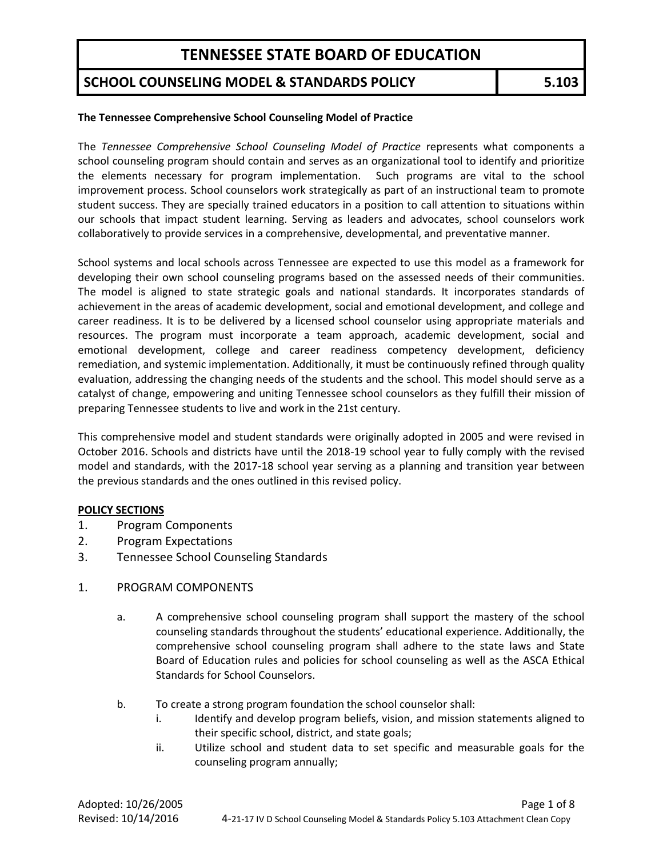### **SCHOOL COUNSELING MODEL & STANDARDS POLICY 5.103**

#### **The Tennessee Comprehensive School Counseling Model of Practice**

The *Tennessee Comprehensive School Counseling Model of Practice* represents what components a school counseling program should contain and serves as an organizational tool to identify and prioritize the elements necessary for program implementation. Such programs are vital to the school improvement process. School counselors work strategically as part of an instructional team to promote student success. They are specially trained educators in a position to call attention to situations within our schools that impact student learning. Serving as leaders and advocates, school counselors work collaboratively to provide services in a comprehensive, developmental, and preventative manner.

School systems and local schools across Tennessee are expected to use this model as a framework for developing their own school counseling programs based on the assessed needs of their communities. The model is aligned to state strategic goals and national standards. It incorporates standards of achievement in the areas of academic development, social and emotional development, and college and career readiness. It is to be delivered by a licensed school counselor using appropriate materials and resources. The program must incorporate a team approach, academic development, social and emotional development, college and career readiness competency development, deficiency remediation, and systemic implementation. Additionally, it must be continuously refined through quality evaluation, addressing the changing needs of the students and the school. This model should serve as a catalyst of change, empowering and uniting Tennessee school counselors as they fulfill their mission of preparing Tennessee students to live and work in the 21st century.

This comprehensive model and student standards were originally adopted in 2005 and were revised in October 2016. Schools and districts have until the 2018-19 school year to fully comply with the revised model and standards, with the 2017-18 school year serving as a planning and transition year between the previous standards and the ones outlined in this revised policy.

#### **POLICY SECTIONS**

- 1. Program Components
- 2. Program Expectations
- 3. Tennessee School Counseling Standards
- 1. PROGRAM COMPONENTS
	- a. A comprehensive school counseling program shall support the mastery of the school counseling standards throughout the students' educational experience. Additionally, the comprehensive school counseling program shall adhere to the state laws and State Board of Education rules and policies for school counseling as well as the ASCA Ethical Standards for School Counselors.
	- b. To create a strong program foundation the school counselor shall:
		- i. Identify and develop program beliefs, vision, and mission statements aligned to their specific school, district, and state goals;
		- ii. Utilize school and student data to set specific and measurable goals for the counseling program annually;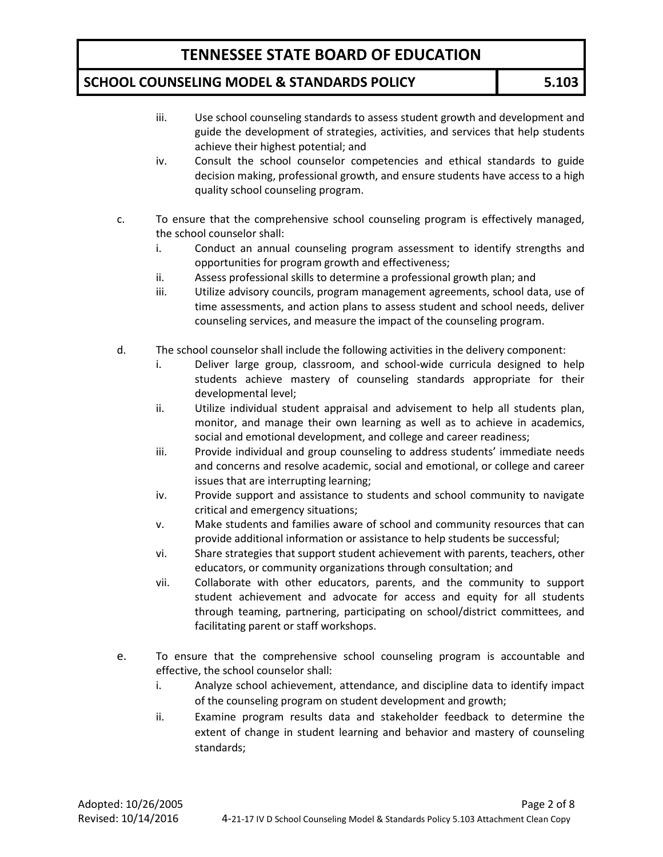### **SCHOOL COUNSELING MODEL & STANDARDS POLICY 5.103**

- iii. Use school counseling standards to assess student growth and development and guide the development of strategies, activities, and services that help students achieve their highest potential; and
- iv. Consult the school counselor competencies and ethical standards to guide decision making, professional growth, and ensure students have access to a high quality school counseling program.
- c. To ensure that the comprehensive school counseling program is effectively managed, the school counselor shall:
	- i. Conduct an annual counseling program assessment to identify strengths and opportunities for program growth and effectiveness;
	- ii. Assess professional skills to determine a professional growth plan; and
	- iii. Utilize advisory councils, program management agreements, school data, use of time assessments, and action plans to assess student and school needs, deliver counseling services, and measure the impact of the counseling program.
- d. The school counselor shall include the following activities in the delivery component:
	- i. Deliver large group, classroom, and school-wide curricula designed to help students achieve mastery of counseling standards appropriate for their developmental level;
	- ii. Utilize individual student appraisal and advisement to help all students plan, monitor, and manage their own learning as well as to achieve in academics, social and emotional development, and college and career readiness;
	- iii. Provide individual and group counseling to address students' immediate needs and concerns and resolve academic, social and emotional, or college and career issues that are interrupting learning;
	- iv. Provide support and assistance to students and school community to navigate critical and emergency situations;
	- v. Make students and families aware of school and community resources that can provide additional information or assistance to help students be successful;
	- vi. Share strategies that support student achievement with parents, teachers, other educators, or community organizations through consultation; and
	- vii. Collaborate with other educators, parents, and the community to support student achievement and advocate for access and equity for all students through teaming, partnering, participating on school/district committees, and facilitating parent or staff workshops.
- e. To ensure that the comprehensive school counseling program is accountable and effective, the school counselor shall:
	- i. Analyze school achievement, attendance, and discipline data to identify impact of the counseling program on student development and growth;
	- ii. Examine program results data and stakeholder feedback to determine the extent of change in student learning and behavior and mastery of counseling standards;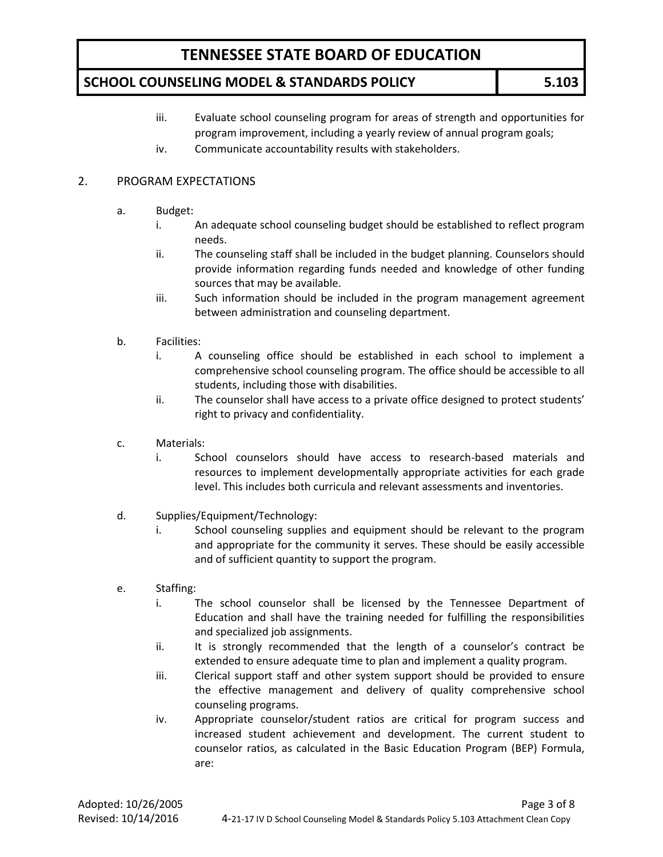### **SCHOOL COUNSELING MODEL & STANDARDS POLICY 5.103**

- iii. Evaluate school counseling program for areas of strength and opportunities for program improvement, including a yearly review of annual program goals;
- iv. Communicate accountability results with stakeholders.

### 2. PROGRAM EXPECTATIONS

- a. Budget:
	- i. An adequate school counseling budget should be established to reflect program needs.
	- ii. The counseling staff shall be included in the budget planning. Counselors should provide information regarding funds needed and knowledge of other funding sources that may be available.
	- iii. Such information should be included in the program management agreement between administration and counseling department.
- b. Facilities:
	- i. A counseling office should be established in each school to implement a comprehensive school counseling program. The office should be accessible to all students, including those with disabilities.
	- ii. The counselor shall have access to a private office designed to protect students' right to privacy and confidentiality.
- c. Materials:
	- i. School counselors should have access to research-based materials and resources to implement developmentally appropriate activities for each grade level. This includes both curricula and relevant assessments and inventories.
- d. Supplies/Equipment/Technology:
	- i. School counseling supplies and equipment should be relevant to the program and appropriate for the community it serves. These should be easily accessible and of sufficient quantity to support the program.
- e. Staffing:
	- i. The school counselor shall be licensed by the Tennessee Department of Education and shall have the training needed for fulfilling the responsibilities and specialized job assignments.
	- ii. It is strongly recommended that the length of a counselor's contract be extended to ensure adequate time to plan and implement a quality program.
	- iii. Clerical support staff and other system support should be provided to ensure the effective management and delivery of quality comprehensive school counseling programs.
	- iv. Appropriate counselor/student ratios are critical for program success and increased student achievement and development. The current student to counselor ratios, as calculated in the Basic Education Program (BEP) Formula, are: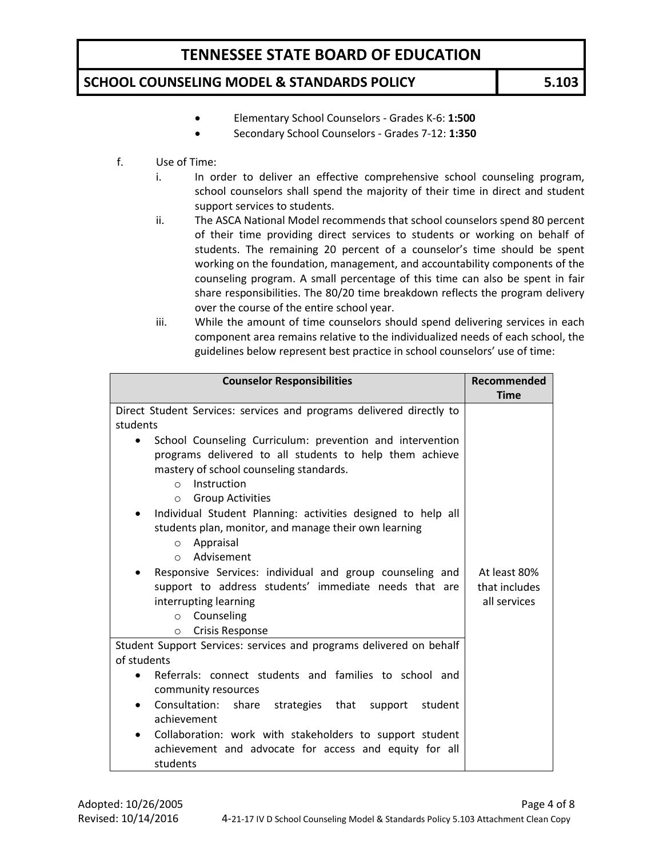### **SCHOOL COUNSELING MODEL & STANDARDS POLICY 5.103**

- Elementary School Counselors Grades K-6: **1:500**
- Secondary School Counselors Grades 7-12: **1:350**
- f. Use of Time:
	- i. In order to deliver an effective comprehensive school counseling program, school counselors shall spend the majority of their time in direct and student support services to students.
	- ii. The ASCA National Model recommends that school counselors spend 80 percent of their time providing direct services to students or working on behalf of students. The remaining 20 percent of a counselor's time should be spent working on the foundation, management, and accountability components of the counseling program. A small percentage of this time can also be spent in fair share responsibilities. The 80/20 time breakdown reflects the program delivery over the course of the entire school year.
	- iii. While the amount of time counselors should spend delivering services in each component area remains relative to the individualized needs of each school, the guidelines below represent best practice in school counselors' use of time:

| <b>Counselor Responsibilities</b>                                     | Recommended   |
|-----------------------------------------------------------------------|---------------|
|                                                                       | <b>Time</b>   |
| Direct Student Services: services and programs delivered directly to  |               |
| students                                                              |               |
| School Counseling Curriculum: prevention and intervention             |               |
| programs delivered to all students to help them achieve               |               |
| mastery of school counseling standards.                               |               |
| Instruction<br>$\Omega$                                               |               |
| <b>Group Activities</b><br>$\circ$                                    |               |
| Individual Student Planning: activities designed to help all<br>٠     |               |
| students plan, monitor, and manage their own learning                 |               |
| Appraisal<br>$\circ$                                                  |               |
| Advisement<br>$\circ$                                                 |               |
| Responsive Services: individual and group counseling and              | At least 80%  |
| support to address students' immediate needs that are                 | that includes |
|                                                                       |               |
| interrupting learning                                                 | all services  |
| Counseling<br>$\circ$                                                 |               |
| <b>Crisis Response</b><br>$\circ$                                     |               |
| Student Support Services: services and programs delivered on behalf   |               |
| of students                                                           |               |
| Referrals: connect students and families to school and                |               |
| community resources                                                   |               |
| Consultation:<br>share<br>strategies that support student<br>٠        |               |
| achievement                                                           |               |
| Collaboration: work with stakeholders to support student<br>$\bullet$ |               |
| achievement and advocate for access and equity for all                |               |
| students                                                              |               |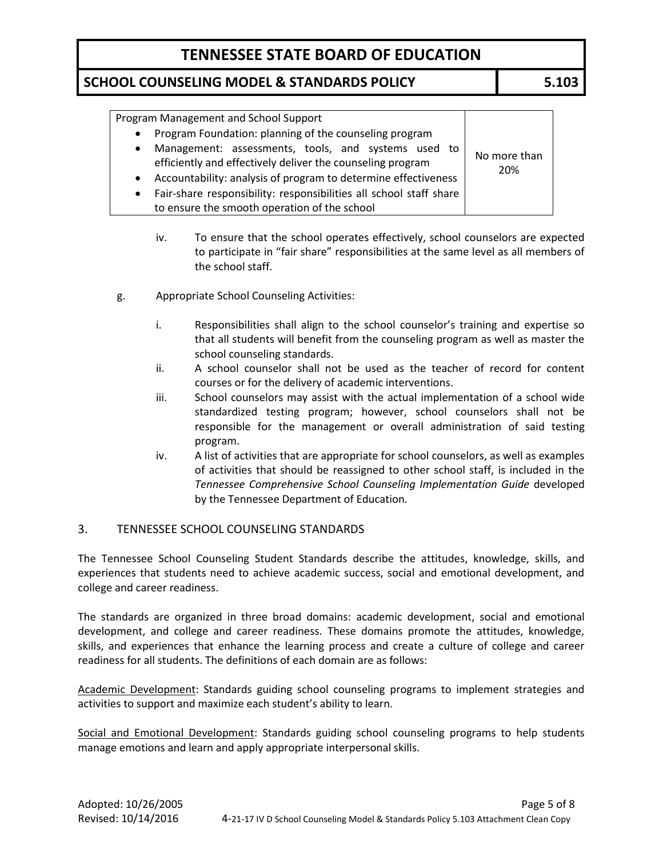### **SCHOOL COUNSELING MODEL & STANDARDS POLICY 5.103**

| Program Management and School Support                                                                                          |              |  |
|--------------------------------------------------------------------------------------------------------------------------------|--------------|--|
| Program Foundation: planning of the counseling program<br>$\bullet$                                                            |              |  |
| Management: assessments, tools, and systems used to<br>$\bullet$<br>efficiently and effectively deliver the counseling program | No more than |  |
| Accountability: analysis of program to determine effectiveness<br>$\bullet$                                                    | 20%          |  |
| Fair-share responsibility: responsibilities all school staff share<br>$\bullet$                                                |              |  |
| to ensure the smooth operation of the school                                                                                   |              |  |

- iv. To ensure that the school operates effectively, school counselors are expected to participate in "fair share" responsibilities at the same level as all members of the school staff.
- g. Appropriate School Counseling Activities:
	- i. Responsibilities shall align to the school counselor's training and expertise so that all students will benefit from the counseling program as well as master the school counseling standards.
	- ii. A school counselor shall not be used as the teacher of record for content courses or for the delivery of academic interventions.
	- iii. School counselors may assist with the actual implementation of a school wide standardized testing program; however, school counselors shall not be responsible for the management or overall administration of said testing program.
	- iv. A list of activities that are appropriate for school counselors, as well as examples of activities that should be reassigned to other school staff, is included in the *Tennessee Comprehensive School Counseling Implementation Guide* developed by the Tennessee Department of Education*.*

### 3. TENNESSEE SCHOOL COUNSELING STANDARDS

The Tennessee School Counseling Student Standards describe the attitudes, knowledge, skills, and experiences that students need to achieve academic success, social and emotional development, and college and career readiness.

The standards are organized in three broad domains: academic development, social and emotional development, and college and career readiness. These domains promote the attitudes, knowledge, skills, and experiences that enhance the learning process and create a culture of college and career readiness for all students. The definitions of each domain are as follows:

Academic Development: Standards guiding school counseling programs to implement strategies and activities to support and maximize each student's ability to learn.

Social and Emotional Development: Standards guiding school counseling programs to help students manage emotions and learn and apply appropriate interpersonal skills.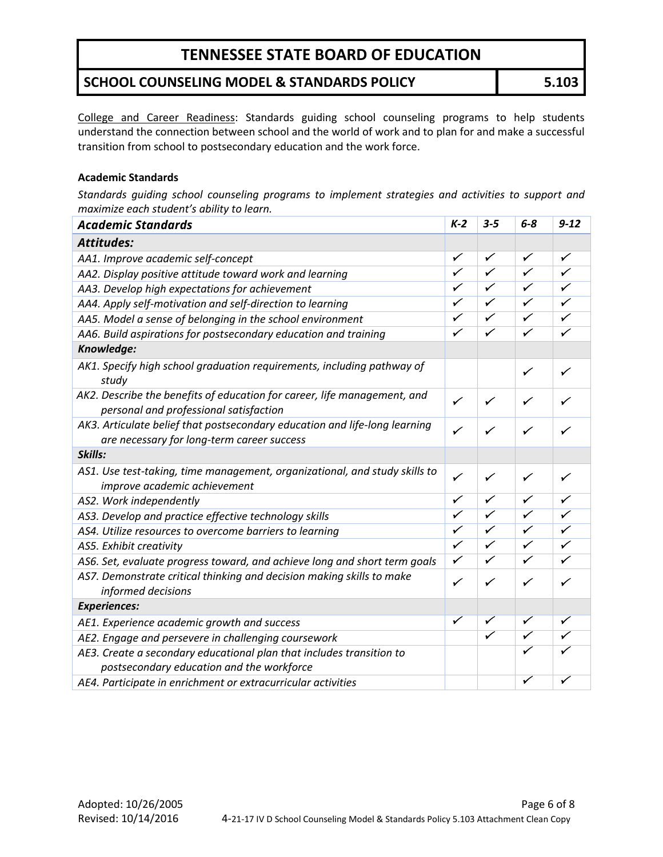### **SCHOOL COUNSELING MODEL & STANDARDS POLICY 5.103**

College and Career Readiness: Standards guiding school counseling programs to help students understand the connection between school and the world of work and to plan for and make a successful transition from school to postsecondary education and the work force.

#### **Academic Standards**

*Standards guiding school counseling programs to implement strategies and activities to support and maximize each student's ability to learn.*

| <b>Attitudes:</b><br>$\checkmark$<br>✓<br>✓<br>✓<br>AA1. Improve academic self-concept<br>$\overline{\checkmark}$<br>$\overline{\checkmark}$<br>✓<br>$\overline{\checkmark}$<br>AA2. Display positive attitude toward work and learning<br>$\overline{\checkmark}$<br>✓<br>✓<br>$\checkmark$<br>AA3. Develop high expectations for achievement<br>$\overline{\checkmark}$<br>$\overline{\checkmark}$<br>✓<br>$\checkmark$<br>AA4. Apply self-motivation and self-direction to learning<br>$\overline{\checkmark}$<br>$\checkmark$<br>$\checkmark$<br>✓<br>AA5. Model a sense of belonging in the school environment<br>✓<br>$\checkmark$<br>$\checkmark$<br>$\checkmark$<br>AA6. Build aspirations for postsecondary education and training<br>Knowledge:<br>AK1. Specify high school graduation requirements, including pathway of<br>$\checkmark$<br>✓<br>study<br>AK2. Describe the benefits of education for career, life management, and<br>✓<br>✓<br>✓<br>personal and professional satisfaction<br>AK3. Articulate belief that postsecondary education and life-long learning<br>✓<br>✓<br>are necessary for long-term career success<br>Skills:<br>AS1. Use test-taking, time management, organizational, and study skills to<br>✓<br>✓<br>✓<br>✓<br>improve academic achievement<br>$\overline{\checkmark}$<br>$\checkmark$<br>$\checkmark$<br>$\checkmark$<br>AS2. Work independently<br>$\overline{\checkmark}$<br>$\overline{\checkmark}$<br>✓<br>$\checkmark$<br>AS3. Develop and practice effective technology skills<br>✓<br>$\checkmark$<br>$\checkmark$<br>AS4. Utilize resources to overcome barriers to learning<br>✓<br>$\overline{\checkmark}$<br>$\checkmark$<br>$\checkmark$<br>$\checkmark$<br>AS5. Exhibit creativity<br>$\checkmark$<br>$\checkmark$<br>$\checkmark$<br>$\checkmark$<br>AS6. Set, evaluate progress toward, and achieve long and short term goals<br>AS7. Demonstrate critical thinking and decision making skills to make<br>$\checkmark$<br>✓<br>✓<br>✓<br>informed decisions<br><b>Experiences:</b><br>✓<br>✓<br>✓<br>✓<br>AE1. Experience academic growth and success<br>$\overline{\checkmark}$<br>$\overline{\checkmark}$<br>✓<br>AE2. Engage and persevere in challenging coursework<br>AE3. Create a secondary educational plan that includes transition to<br>postsecondary education and the workforce<br>✓<br>✓ | <b>Academic Standards</b>                                    | $K-2$ | $3 - 5$ | $6 - 8$ | $9 - 12$ |
|----------------------------------------------------------------------------------------------------------------------------------------------------------------------------------------------------------------------------------------------------------------------------------------------------------------------------------------------------------------------------------------------------------------------------------------------------------------------------------------------------------------------------------------------------------------------------------------------------------------------------------------------------------------------------------------------------------------------------------------------------------------------------------------------------------------------------------------------------------------------------------------------------------------------------------------------------------------------------------------------------------------------------------------------------------------------------------------------------------------------------------------------------------------------------------------------------------------------------------------------------------------------------------------------------------------------------------------------------------------------------------------------------------------------------------------------------------------------------------------------------------------------------------------------------------------------------------------------------------------------------------------------------------------------------------------------------------------------------------------------------------------------------------------------------------------------------------------------------------------------------------------------------------------------------------------------------------------------------------------------------------------------------------------------------------------------------------------------------------------------------------------------------------------------------------------------------------------------------------------------------------------------------------------------------------------------------------------------------------------------|--------------------------------------------------------------|-------|---------|---------|----------|
|                                                                                                                                                                                                                                                                                                                                                                                                                                                                                                                                                                                                                                                                                                                                                                                                                                                                                                                                                                                                                                                                                                                                                                                                                                                                                                                                                                                                                                                                                                                                                                                                                                                                                                                                                                                                                                                                                                                                                                                                                                                                                                                                                                                                                                                                                                                                                                      |                                                              |       |         |         |          |
|                                                                                                                                                                                                                                                                                                                                                                                                                                                                                                                                                                                                                                                                                                                                                                                                                                                                                                                                                                                                                                                                                                                                                                                                                                                                                                                                                                                                                                                                                                                                                                                                                                                                                                                                                                                                                                                                                                                                                                                                                                                                                                                                                                                                                                                                                                                                                                      |                                                              |       |         |         |          |
|                                                                                                                                                                                                                                                                                                                                                                                                                                                                                                                                                                                                                                                                                                                                                                                                                                                                                                                                                                                                                                                                                                                                                                                                                                                                                                                                                                                                                                                                                                                                                                                                                                                                                                                                                                                                                                                                                                                                                                                                                                                                                                                                                                                                                                                                                                                                                                      |                                                              |       |         |         |          |
|                                                                                                                                                                                                                                                                                                                                                                                                                                                                                                                                                                                                                                                                                                                                                                                                                                                                                                                                                                                                                                                                                                                                                                                                                                                                                                                                                                                                                                                                                                                                                                                                                                                                                                                                                                                                                                                                                                                                                                                                                                                                                                                                                                                                                                                                                                                                                                      |                                                              |       |         |         |          |
|                                                                                                                                                                                                                                                                                                                                                                                                                                                                                                                                                                                                                                                                                                                                                                                                                                                                                                                                                                                                                                                                                                                                                                                                                                                                                                                                                                                                                                                                                                                                                                                                                                                                                                                                                                                                                                                                                                                                                                                                                                                                                                                                                                                                                                                                                                                                                                      |                                                              |       |         |         |          |
|                                                                                                                                                                                                                                                                                                                                                                                                                                                                                                                                                                                                                                                                                                                                                                                                                                                                                                                                                                                                                                                                                                                                                                                                                                                                                                                                                                                                                                                                                                                                                                                                                                                                                                                                                                                                                                                                                                                                                                                                                                                                                                                                                                                                                                                                                                                                                                      |                                                              |       |         |         |          |
|                                                                                                                                                                                                                                                                                                                                                                                                                                                                                                                                                                                                                                                                                                                                                                                                                                                                                                                                                                                                                                                                                                                                                                                                                                                                                                                                                                                                                                                                                                                                                                                                                                                                                                                                                                                                                                                                                                                                                                                                                                                                                                                                                                                                                                                                                                                                                                      |                                                              |       |         |         |          |
|                                                                                                                                                                                                                                                                                                                                                                                                                                                                                                                                                                                                                                                                                                                                                                                                                                                                                                                                                                                                                                                                                                                                                                                                                                                                                                                                                                                                                                                                                                                                                                                                                                                                                                                                                                                                                                                                                                                                                                                                                                                                                                                                                                                                                                                                                                                                                                      |                                                              |       |         |         |          |
|                                                                                                                                                                                                                                                                                                                                                                                                                                                                                                                                                                                                                                                                                                                                                                                                                                                                                                                                                                                                                                                                                                                                                                                                                                                                                                                                                                                                                                                                                                                                                                                                                                                                                                                                                                                                                                                                                                                                                                                                                                                                                                                                                                                                                                                                                                                                                                      |                                                              |       |         |         |          |
|                                                                                                                                                                                                                                                                                                                                                                                                                                                                                                                                                                                                                                                                                                                                                                                                                                                                                                                                                                                                                                                                                                                                                                                                                                                                                                                                                                                                                                                                                                                                                                                                                                                                                                                                                                                                                                                                                                                                                                                                                                                                                                                                                                                                                                                                                                                                                                      |                                                              |       |         |         |          |
|                                                                                                                                                                                                                                                                                                                                                                                                                                                                                                                                                                                                                                                                                                                                                                                                                                                                                                                                                                                                                                                                                                                                                                                                                                                                                                                                                                                                                                                                                                                                                                                                                                                                                                                                                                                                                                                                                                                                                                                                                                                                                                                                                                                                                                                                                                                                                                      |                                                              |       |         |         |          |
|                                                                                                                                                                                                                                                                                                                                                                                                                                                                                                                                                                                                                                                                                                                                                                                                                                                                                                                                                                                                                                                                                                                                                                                                                                                                                                                                                                                                                                                                                                                                                                                                                                                                                                                                                                                                                                                                                                                                                                                                                                                                                                                                                                                                                                                                                                                                                                      |                                                              |       |         |         |          |
|                                                                                                                                                                                                                                                                                                                                                                                                                                                                                                                                                                                                                                                                                                                                                                                                                                                                                                                                                                                                                                                                                                                                                                                                                                                                                                                                                                                                                                                                                                                                                                                                                                                                                                                                                                                                                                                                                                                                                                                                                                                                                                                                                                                                                                                                                                                                                                      |                                                              |       |         |         |          |
|                                                                                                                                                                                                                                                                                                                                                                                                                                                                                                                                                                                                                                                                                                                                                                                                                                                                                                                                                                                                                                                                                                                                                                                                                                                                                                                                                                                                                                                                                                                                                                                                                                                                                                                                                                                                                                                                                                                                                                                                                                                                                                                                                                                                                                                                                                                                                                      |                                                              |       |         |         |          |
|                                                                                                                                                                                                                                                                                                                                                                                                                                                                                                                                                                                                                                                                                                                                                                                                                                                                                                                                                                                                                                                                                                                                                                                                                                                                                                                                                                                                                                                                                                                                                                                                                                                                                                                                                                                                                                                                                                                                                                                                                                                                                                                                                                                                                                                                                                                                                                      |                                                              |       |         |         |          |
|                                                                                                                                                                                                                                                                                                                                                                                                                                                                                                                                                                                                                                                                                                                                                                                                                                                                                                                                                                                                                                                                                                                                                                                                                                                                                                                                                                                                                                                                                                                                                                                                                                                                                                                                                                                                                                                                                                                                                                                                                                                                                                                                                                                                                                                                                                                                                                      |                                                              |       |         |         |          |
|                                                                                                                                                                                                                                                                                                                                                                                                                                                                                                                                                                                                                                                                                                                                                                                                                                                                                                                                                                                                                                                                                                                                                                                                                                                                                                                                                                                                                                                                                                                                                                                                                                                                                                                                                                                                                                                                                                                                                                                                                                                                                                                                                                                                                                                                                                                                                                      |                                                              |       |         |         |          |
|                                                                                                                                                                                                                                                                                                                                                                                                                                                                                                                                                                                                                                                                                                                                                                                                                                                                                                                                                                                                                                                                                                                                                                                                                                                                                                                                                                                                                                                                                                                                                                                                                                                                                                                                                                                                                                                                                                                                                                                                                                                                                                                                                                                                                                                                                                                                                                      |                                                              |       |         |         |          |
|                                                                                                                                                                                                                                                                                                                                                                                                                                                                                                                                                                                                                                                                                                                                                                                                                                                                                                                                                                                                                                                                                                                                                                                                                                                                                                                                                                                                                                                                                                                                                                                                                                                                                                                                                                                                                                                                                                                                                                                                                                                                                                                                                                                                                                                                                                                                                                      |                                                              |       |         |         |          |
|                                                                                                                                                                                                                                                                                                                                                                                                                                                                                                                                                                                                                                                                                                                                                                                                                                                                                                                                                                                                                                                                                                                                                                                                                                                                                                                                                                                                                                                                                                                                                                                                                                                                                                                                                                                                                                                                                                                                                                                                                                                                                                                                                                                                                                                                                                                                                                      |                                                              |       |         |         |          |
|                                                                                                                                                                                                                                                                                                                                                                                                                                                                                                                                                                                                                                                                                                                                                                                                                                                                                                                                                                                                                                                                                                                                                                                                                                                                                                                                                                                                                                                                                                                                                                                                                                                                                                                                                                                                                                                                                                                                                                                                                                                                                                                                                                                                                                                                                                                                                                      |                                                              |       |         |         |          |
|                                                                                                                                                                                                                                                                                                                                                                                                                                                                                                                                                                                                                                                                                                                                                                                                                                                                                                                                                                                                                                                                                                                                                                                                                                                                                                                                                                                                                                                                                                                                                                                                                                                                                                                                                                                                                                                                                                                                                                                                                                                                                                                                                                                                                                                                                                                                                                      |                                                              |       |         |         |          |
|                                                                                                                                                                                                                                                                                                                                                                                                                                                                                                                                                                                                                                                                                                                                                                                                                                                                                                                                                                                                                                                                                                                                                                                                                                                                                                                                                                                                                                                                                                                                                                                                                                                                                                                                                                                                                                                                                                                                                                                                                                                                                                                                                                                                                                                                                                                                                                      |                                                              |       |         |         |          |
|                                                                                                                                                                                                                                                                                                                                                                                                                                                                                                                                                                                                                                                                                                                                                                                                                                                                                                                                                                                                                                                                                                                                                                                                                                                                                                                                                                                                                                                                                                                                                                                                                                                                                                                                                                                                                                                                                                                                                                                                                                                                                                                                                                                                                                                                                                                                                                      | AE4. Participate in enrichment or extracurricular activities |       |         |         |          |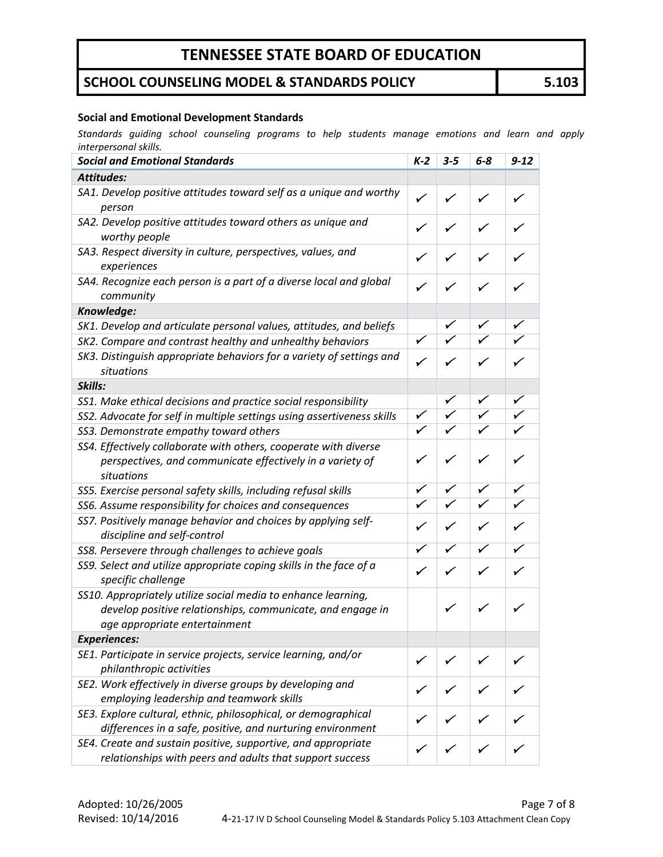## **SCHOOL COUNSELING MODEL & STANDARDS POLICY 5.103**

#### **Social and Emotional Development Standards**

*Standards guiding school counseling programs to help students manage emotions and learn and apply interpersonal skills.*

| <b>Social and Emotional Standards</b>                                                                                                                        | $K-2$        | $3 - 5$      | $6 - 8$                 | $9 - 12$                |
|--------------------------------------------------------------------------------------------------------------------------------------------------------------|--------------|--------------|-------------------------|-------------------------|
| <b>Attitudes:</b>                                                                                                                                            |              |              |                         |                         |
| SA1. Develop positive attitudes toward self as a unique and worthy<br>person                                                                                 | $\checkmark$ | ✓            | ✓                       | ✓                       |
| SA2. Develop positive attitudes toward others as unique and<br>worthy people                                                                                 | ✓            | ✓            | ✓                       | $\checkmark$            |
| SA3. Respect diversity in culture, perspectives, values, and<br>experiences                                                                                  | ✓            | $\checkmark$ | ✓                       | ✓                       |
| SA4. Recognize each person is a part of a diverse local and global<br>community                                                                              | ✓            | ✓            | $\checkmark$            | $\checkmark$            |
| Knowledge:                                                                                                                                                   |              |              |                         |                         |
| SK1. Develop and articulate personal values, attitudes, and beliefs                                                                                          |              |              | $\checkmark$            | $\checkmark$            |
| SK2. Compare and contrast healthy and unhealthy behaviors                                                                                                    | ✓            |              | $\checkmark$            |                         |
| SK3. Distinguish appropriate behaviors for a variety of settings and<br>situations                                                                           | $\checkmark$ | ✓            | ✓                       |                         |
| Skills:                                                                                                                                                      |              |              |                         |                         |
| SS1. Make ethical decisions and practice social responsibility                                                                                               |              |              | $\checkmark$            | ✓                       |
| SS2. Advocate for self in multiple settings using assertiveness skills                                                                                       | ✓            | ✓            | $\checkmark$            | $\overline{\checkmark}$ |
| SS3. Demonstrate empathy toward others                                                                                                                       | ✓            |              | $\overline{\checkmark}$ | ✓                       |
| SS4. Effectively collaborate with others, cooperate with diverse<br>perspectives, and communicate effectively in a variety of<br>situations                  | $\checkmark$ | ✓            | ✓                       | ✓                       |
| SS5. Exercise personal safety skills, including refusal skills                                                                                               | ✓            |              | ✓                       | ✓                       |
| SS6. Assume responsibility for choices and consequences                                                                                                      |              | $\checkmark$ | $\bar{\checkmark}$      | ✓                       |
| SS7. Positively manage behavior and choices by applying self-<br>discipline and self-control                                                                 | ✓            | ✓            | ✓                       | ✓                       |
| SS8. Persevere through challenges to achieve goals                                                                                                           |              |              |                         | ✓                       |
| SS9. Select and utilize appropriate coping skills in the face of a<br>specific challenge                                                                     | ✓            | ✓            | $\checkmark$            | ✓                       |
| SS10. Appropriately utilize social media to enhance learning,<br>develop positive relationships, communicate, and engage in<br>age appropriate entertainment |              | ✓            | $\checkmark$            |                         |
| <b>Experiences:</b>                                                                                                                                          |              |              |                         |                         |
| SE1. Participate in service projects, service learning, and/or<br>philanthropic activities                                                                   |              |              |                         |                         |
| SE2. Work effectively in diverse groups by developing and<br>employing leadership and teamwork skills                                                        | ✓            |              |                         |                         |
| SE3. Explore cultural, ethnic, philosophical, or demographical<br>differences in a safe, positive, and nurturing environment                                 | $\checkmark$ |              |                         |                         |
| SE4. Create and sustain positive, supportive, and appropriate<br>relationships with peers and adults that support success                                    |              |              |                         |                         |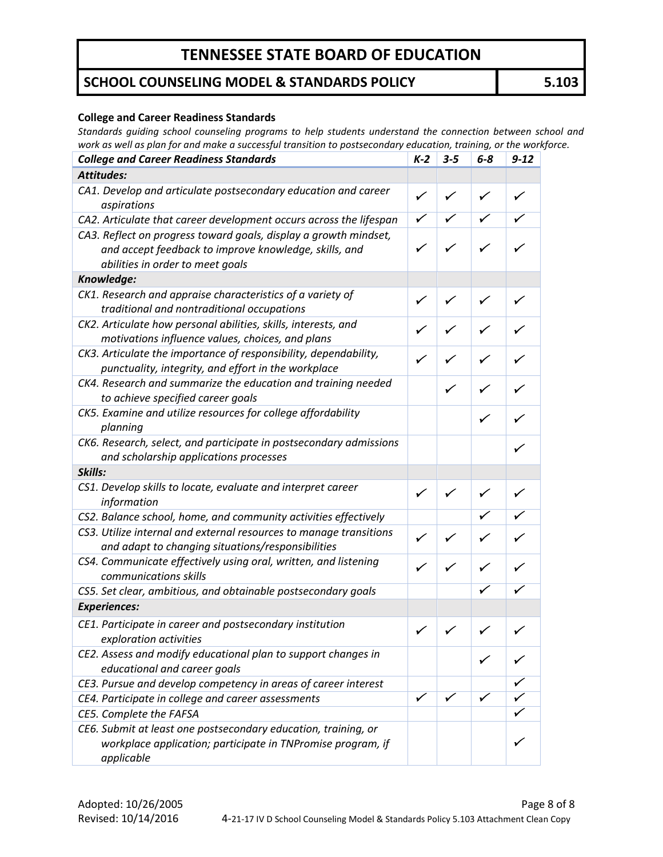### **SCHOOL COUNSELING MODEL & STANDARDS POLICY 5.103**

#### **College and Career Readiness Standards**

*Standards guiding school counseling programs to help students understand the connection between school and work as well as plan for and make a successful transition to postsecondary education, training, or the workforce.*

| <b>College and Career Readiness Standards</b>                                                                                                                 | $K-2$        | $3 - 5$      | $6-8$        | $9 - 12$     |
|---------------------------------------------------------------------------------------------------------------------------------------------------------------|--------------|--------------|--------------|--------------|
| <b>Attitudes:</b>                                                                                                                                             |              |              |              |              |
| CA1. Develop and articulate postsecondary education and career<br>aspirations                                                                                 | ✓            | ✓            | $\checkmark$ | $\checkmark$ |
| CA2. Articulate that career development occurs across the lifespan                                                                                            |              |              |              |              |
| CA3. Reflect on progress toward goals, display a growth mindset,<br>and accept feedback to improve knowledge, skills, and<br>abilities in order to meet goals | ✓            |              | $\checkmark$ |              |
| Knowledge:                                                                                                                                                    |              |              |              |              |
| CK1. Research and appraise characteristics of a variety of<br>traditional and nontraditional occupations                                                      | ✓            | $\checkmark$ | $\checkmark$ | ✓            |
| CK2. Articulate how personal abilities, skills, interests, and<br>motivations influence values, choices, and plans                                            |              |              |              |              |
| CK3. Articulate the importance of responsibility, dependability,<br>punctuality, integrity, and effort in the workplace                                       |              |              |              |              |
| CK4. Research and summarize the education and training needed<br>to achieve specified career goals                                                            |              | ✓            | $\checkmark$ |              |
| CK5. Examine and utilize resources for college affordability<br>planning                                                                                      |              |              | ✓            |              |
| CK6. Research, select, and participate in postsecondary admissions<br>and scholarship applications processes                                                  |              |              |              | ✓            |
| Skills:                                                                                                                                                       |              |              |              |              |
| CS1. Develop skills to locate, evaluate and interpret career<br>information                                                                                   | ✓            | ✓            | ✓            | $\checkmark$ |
| CS2. Balance school, home, and community activities effectively                                                                                               |              |              |              |              |
| CS3. Utilize internal and external resources to manage transitions<br>and adapt to changing situations/responsibilities                                       | ✓            |              |              |              |
| CS4. Communicate effectively using oral, written, and listening<br>communications skills                                                                      |              |              |              |              |
| CS5. Set clear, ambitious, and obtainable postsecondary goals                                                                                                 |              |              |              |              |
| <b>Experiences:</b>                                                                                                                                           |              |              |              |              |
| CE1. Participate in career and postsecondary institution<br>exploration activities                                                                            | $\checkmark$ | ✓            | $\checkmark$ |              |
| CE2. Assess and modify educational plan to support changes in<br>educational and career goals                                                                 |              |              | ✓            |              |
| CE3. Pursue and develop competency in areas of career interest                                                                                                |              |              |              |              |
| CE4. Participate in college and career assessments                                                                                                            |              |              | ✓            |              |
| CE5. Complete the FAFSA                                                                                                                                       |              |              |              |              |
| CE6. Submit at least one postsecondary education, training, or<br>workplace application; participate in TNPromise program, if<br>applicable                   |              |              |              |              |